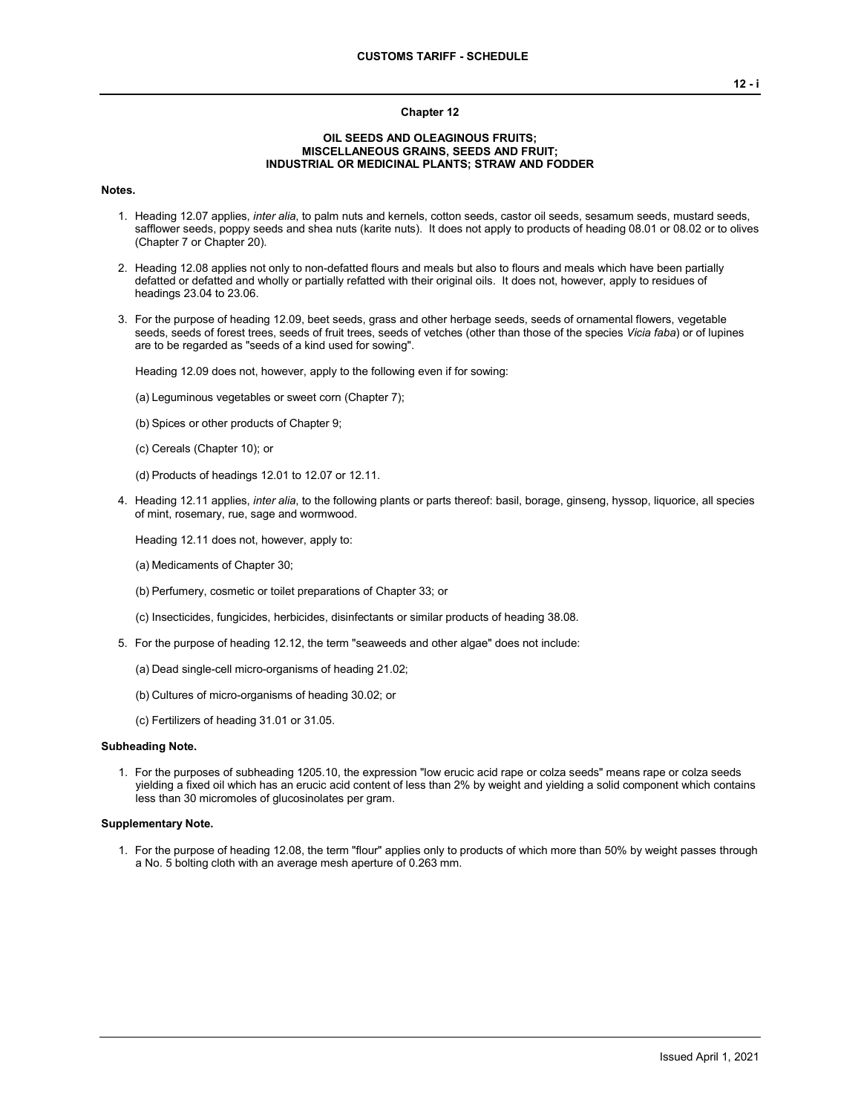#### **Chapter 12**

### **OIL SEEDS AND OLEAGINOUS FRUITS; MISCELLANEOUS GRAINS, SEEDS AND FRUIT; INDUSTRIAL OR MEDICINAL PLANTS; STRAW AND FODDER**

### **Notes.**

- 1. Heading 12.07 applies, *inter alia*, to palm nuts and kernels, cotton seeds, castor oil seeds, sesamum seeds, mustard seeds, safflower seeds, poppy seeds and shea nuts (karite nuts). It does not apply to products of heading 08.01 or 08.02 or to olives (Chapter 7 or Chapter 20).
- 2. Heading 12.08 applies not only to non-defatted flours and meals but also to flours and meals which have been partially defatted or defatted and wholly or partially refatted with their original oils. It does not, however, apply to residues of headings 23.04 to 23.06.
- 3. For the purpose of heading 12.09, beet seeds, grass and other herbage seeds, seeds of ornamental flowers, vegetable seeds, seeds of forest trees, seeds of fruit trees, seeds of vetches (other than those of the species *Vicia faba*) or of lupines are to be regarded as "seeds of a kind used for sowing".

Heading 12.09 does not, however, apply to the following even if for sowing:

- (a) Leguminous vegetables or sweet corn (Chapter 7);
- (b) Spices or other products of Chapter 9;
- (c) Cereals (Chapter 10); or
- (d) Products of headings 12.01 to 12.07 or 12.11.
- 4. Heading 12.11 applies, *inter alia*, to the following plants or parts thereof: basil, borage, ginseng, hyssop, liquorice, all species of mint, rosemary, rue, sage and wormwood.

Heading 12.11 does not, however, apply to:

- (a) Medicaments of Chapter 30;
- (b) Perfumery, cosmetic or toilet preparations of Chapter 33; or
- (c) Insecticides, fungicides, herbicides, disinfectants or similar products of heading 38.08.
- 5. For the purpose of heading 12.12, the term "seaweeds and other algae" does not include:
	- (a) Dead single-cell micro-organisms of heading 21.02;
	- (b) Cultures of micro-organisms of heading 30.02; or
	- (c) Fertilizers of heading 31.01 or 31.05.

#### **Subheading Note.**

1. For the purposes of subheading 1205.10, the expression "low erucic acid rape or colza seeds" means rape or colza seeds yielding a fixed oil which has an erucic acid content of less than 2% by weight and yielding a solid component which contains less than 30 micromoles of glucosinolates per gram.

### **Supplementary Note.**

1. For the purpose of heading 12.08, the term "flour" applies only to products of which more than 50% by weight passes through a No. 5 bolting cloth with an average mesh aperture of 0.263 mm.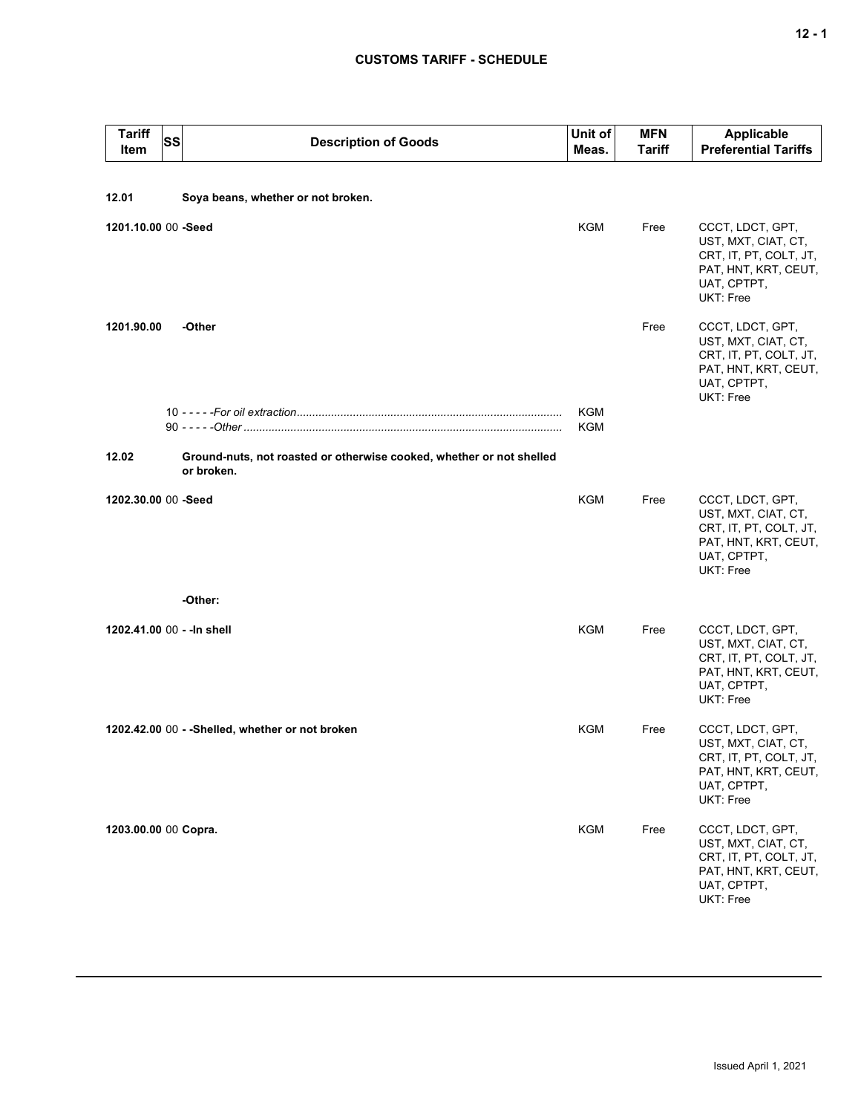| Tariff<br>Item             | <b>SS</b> | <b>Description of Goods</b>                                                        | Unit of<br>Meas.  | <b>MFN</b><br><b>Tariff</b> | <b>Applicable</b><br><b>Preferential Tariffs</b>                                                                      |
|----------------------------|-----------|------------------------------------------------------------------------------------|-------------------|-----------------------------|-----------------------------------------------------------------------------------------------------------------------|
|                            |           |                                                                                    |                   |                             |                                                                                                                       |
| 12.01                      |           | Soya beans, whether or not broken.                                                 |                   |                             |                                                                                                                       |
| 1201.10.00 00 -Seed        |           |                                                                                    | KGM               | Free                        | CCCT, LDCT, GPT,<br>UST, MXT, CIAT, CT,<br>CRT, IT, PT, COLT, JT,<br>PAT, HNT, KRT, CEUT,<br>UAT, CPTPT,<br>UKT: Free |
| 1201.90.00                 |           | -Other                                                                             |                   | Free                        | CCCT, LDCT, GPT,<br>UST, MXT, CIAT, CT,<br>CRT, IT, PT, COLT, JT,<br>PAT, HNT, KRT, CEUT,<br>UAT, CPTPT,<br>UKT: Free |
|                            |           |                                                                                    | <b>KGM</b><br>KGM |                             |                                                                                                                       |
|                            |           |                                                                                    |                   |                             |                                                                                                                       |
| 12.02                      |           | Ground-nuts, not roasted or otherwise cooked, whether or not shelled<br>or broken. |                   |                             |                                                                                                                       |
| 1202.30.00 00 -Seed        |           |                                                                                    | <b>KGM</b>        | Free                        | CCCT, LDCT, GPT,<br>UST, MXT, CIAT, CT,<br>CRT, IT, PT, COLT, JT,<br>PAT, HNT, KRT, CEUT,<br>UAT, CPTPT,<br>UKT: Free |
|                            |           | -Other:                                                                            |                   |                             |                                                                                                                       |
| 1202.41.00 00 - - In shell |           |                                                                                    | <b>KGM</b>        | Free                        | CCCT, LDCT, GPT,<br>UST, MXT, CIAT, CT,<br>CRT, IT, PT, COLT, JT,<br>PAT, HNT, KRT, CEUT,<br>UAT, CPTPT,<br>UKT: Free |
|                            |           | 1202.42.00 00 - - Shelled, whether or not broken                                   | <b>KGM</b>        | Free                        | CCCT, LDCT, GPT,<br>UST, MXT, CIAT, CT,<br>CRT, IT, PT, COLT, JT,<br>PAT, HNT, KRT, CEUT,<br>UAT, CPTPT,<br>UKT: Free |
| 1203.00.00 00 Copra.       |           |                                                                                    | <b>KGM</b>        | Free                        | CCCT, LDCT, GPT,<br>UST, MXT, CIAT, CT,<br>CRT, IT, PT, COLT, JT,<br>PAT, HNT, KRT, CEUT,<br>UAT, CPTPT,<br>UKT: Free |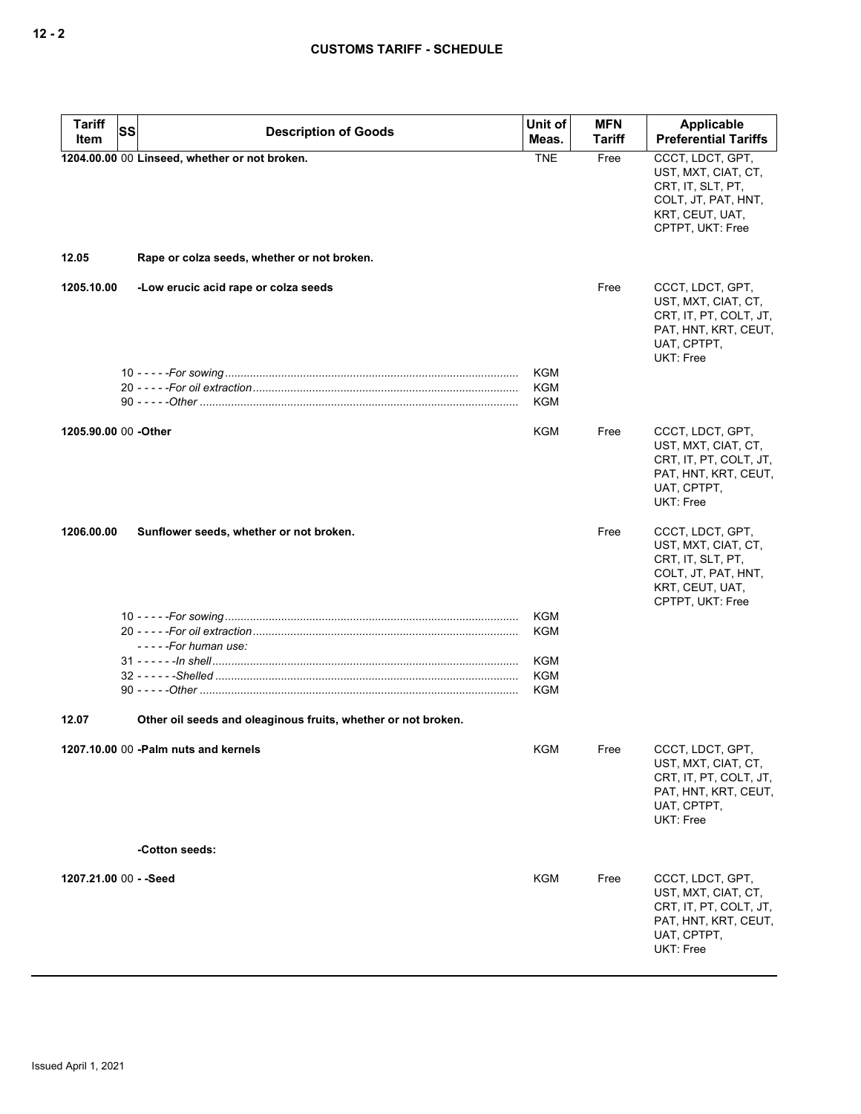| <b>Tariff</b><br>Item | SS | <b>Description of Goods</b>                                                                  | Unit of<br>Meas.                | <b>MFN</b><br>Tariff | Applicable<br><b>Preferential Tariffs</b>                                                                                  |
|-----------------------|----|----------------------------------------------------------------------------------------------|---------------------------------|----------------------|----------------------------------------------------------------------------------------------------------------------------|
| 12.05                 |    | 1204.00.00 00 Linseed, whether or not broken.<br>Rape or colza seeds, whether or not broken. | <b>TNE</b>                      | Free                 | CCCT. LDCT. GPT.<br>UST, MXT, CIAT, CT,<br>CRT, IT, SLT, PT,<br>COLT, JT, PAT, HNT,<br>KRT, CEUT, UAT,<br>CPTPT, UKT: Free |
|                       |    |                                                                                              |                                 |                      |                                                                                                                            |
| 1205.10.00            |    | -Low erucic acid rape or colza seeds                                                         | <b>KGM</b><br><b>KGM</b>        | Free                 | CCCT, LDCT, GPT,<br>UST, MXT, CIAT, CT,<br>CRT, IT, PT, COLT, JT,<br>PAT, HNT, KRT, CEUT,<br>UAT, CPTPT,<br>UKT: Free      |
|                       |    |                                                                                              | KGM                             |                      |                                                                                                                            |
| 1205.90.00 00 -Other  |    |                                                                                              | KGM                             | Free                 | CCCT, LDCT, GPT,<br>UST, MXT, CIAT, CT,<br>CRT, IT, PT, COLT, JT,<br>PAT, HNT, KRT, CEUT,<br>UAT, CPTPT,<br>UKT: Free      |
| 1206.00.00            |    | Sunflower seeds, whether or not broken.                                                      |                                 | Free                 | CCCT, LDCT, GPT,<br>UST, MXT, CIAT, CT,<br>CRT, IT, SLT, PT,<br>COLT, JT, PAT, HNT,<br>KRT, CEUT, UAT,<br>CPTPT, UKT: Free |
|                       |    |                                                                                              | <b>KGM</b><br><b>KGM</b>        |                      |                                                                                                                            |
|                       |    | $-- -$ - For human use:                                                                      | KGM<br><b>KGM</b><br><b>KGM</b> |                      |                                                                                                                            |
| 12.07                 |    | Other oil seeds and oleaginous fruits, whether or not broken.                                |                                 |                      |                                                                                                                            |
|                       |    | 1207.10.00 00 - Palm nuts and kernels                                                        | <b>KGM</b>                      | Free                 | CCCT, LDCT, GPT,<br>UST, MXT, CIAT, CT,<br>CRT, IT, PT, COLT, JT,<br>PAT, HNT, KRT, CEUT,<br>UAT, CPTPT,<br>UKT: Free      |
|                       |    | -Cotton seeds:                                                                               |                                 |                      |                                                                                                                            |
| 1207.21.00 00 - -Seed |    |                                                                                              | KGM                             | Free                 | CCCT, LDCT, GPT,<br>UST, MXT, CIAT, CT,<br>CRT, IT, PT, COLT, JT,<br>PAT, HNT, KRT, CEUT,<br>UAT, CPTPT,<br>UKT: Free      |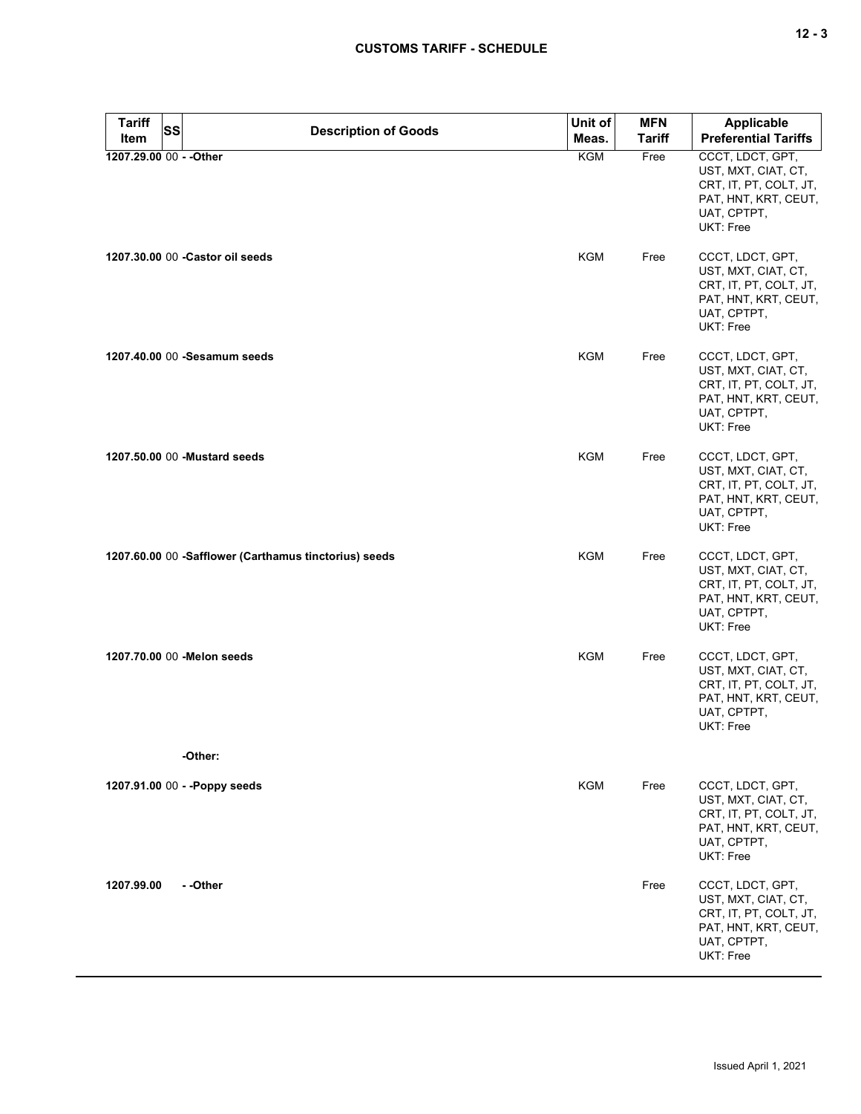| <b>Tariff</b><br>Item | SS<br><b>Description of Goods</b>                     | Unit of<br>Meas. | <b>MFN</b><br><b>Tariff</b> | <b>Applicable</b><br><b>Preferential Tariffs</b>                                                                      |
|-----------------------|-------------------------------------------------------|------------------|-----------------------------|-----------------------------------------------------------------------------------------------------------------------|
|                       | 1207.29.00 00 - - Other                               | KGM              | Free                        | CCCT, LDCT, GPT,<br>UST, MXT, CIAT, CT,<br>CRT, IT, PT, COLT, JT,<br>PAT, HNT, KRT, CEUT,<br>UAT, CPTPT,<br>UKT: Free |
|                       | 1207.30.00 00 - Castor oil seeds                      | KGM              | Free                        | CCCT, LDCT, GPT,<br>UST, MXT, CIAT, CT,<br>CRT, IT, PT, COLT, JT,<br>PAT, HNT, KRT, CEUT,<br>UAT, CPTPT,<br>UKT: Free |
|                       | 1207.40.00 00 -Sesamum seeds                          | <b>KGM</b>       | Free                        | CCCT, LDCT, GPT,<br>UST, MXT, CIAT, CT,<br>CRT, IT, PT, COLT, JT,<br>PAT, HNT, KRT, CEUT,<br>UAT, CPTPT,<br>UKT: Free |
|                       | 1207.50.00 00 - Mustard seeds                         | <b>KGM</b>       | Free                        | CCCT, LDCT, GPT,<br>UST, MXT, CIAT, CT,<br>CRT, IT, PT, COLT, JT,<br>PAT, HNT, KRT, CEUT,<br>UAT, CPTPT,<br>UKT: Free |
|                       | 1207.60.00 00 -Safflower (Carthamus tinctorius) seeds | <b>KGM</b>       | Free                        | CCCT, LDCT, GPT,<br>UST, MXT, CIAT, CT,<br>CRT, IT, PT, COLT, JT,<br>PAT, HNT, KRT, CEUT,<br>UAT, CPTPT,<br>UKT: Free |
|                       | 1207.70.00 00 - Melon seeds                           | <b>KGM</b>       | Free                        | CCCT, LDCT, GPT,<br>UST, MXT, CIAT, CT,<br>CRT, IT, PT, COLT, JT,<br>PAT, HNT, KRT, CEUT,<br>UAT, CPTPT,<br>UKT: Free |
|                       | -Other:                                               |                  |                             |                                                                                                                       |
|                       | 1207.91.00 00 - - Poppy seeds                         | KGM              | Free                        | CCCT, LDCT, GPT,<br>UST, MXT, CIAT, CT,<br>CRT, IT, PT, COLT, JT,<br>PAT, HNT, KRT, CEUT,<br>UAT, CPTPT,<br>UKT: Free |
| 1207.99.00            | - -Other                                              |                  | Free                        | CCCT, LDCT, GPT,<br>UST, MXT, CIAT, CT,<br>CRT, IT, PT, COLT, JT,<br>PAT, HNT, KRT, CEUT,<br>UAT, CPTPT,<br>UKT: Free |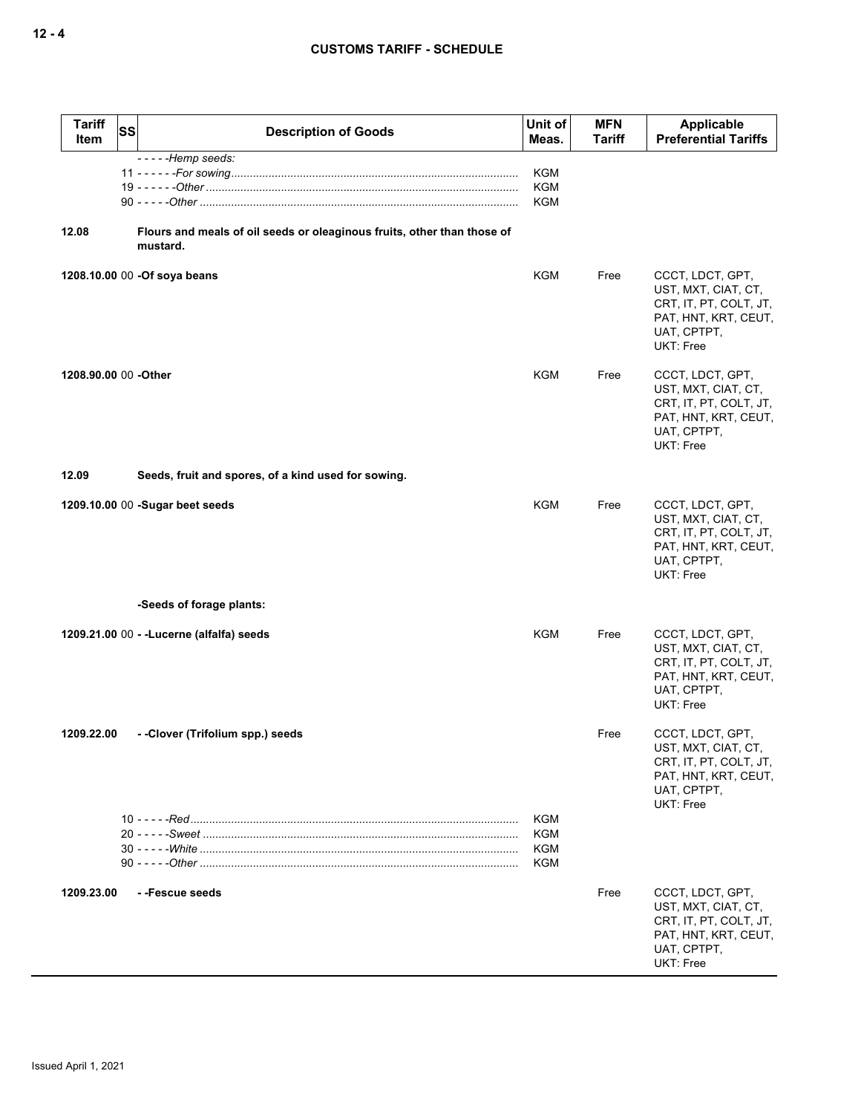| <b>Tariff</b><br><b>SS</b><br>Item | <b>Description of Goods</b>                                                                             | Unit of<br>Meas.                       | <b>MFN</b><br>Tariff | Applicable<br><b>Preferential Tariffs</b>                                                                                    |
|------------------------------------|---------------------------------------------------------------------------------------------------------|----------------------------------------|----------------------|------------------------------------------------------------------------------------------------------------------------------|
| 12.08                              | -----Hemp seeds:<br>Flours and meals of oil seeds or oleaginous fruits, other than those of<br>mustard. | <b>KGM</b><br><b>KGM</b><br><b>KGM</b> |                      |                                                                                                                              |
|                                    | 1208.10.00 00 -Of soya beans                                                                            | KGM                                    | Free                 | CCCT, LDCT, GPT,<br>UST, MXT, CIAT, CT,<br>CRT, IT, PT, COLT, JT,<br>PAT, HNT, KRT, CEUT,<br>UAT, CPTPT,<br><b>UKT: Free</b> |
| 1208.90.00 00 -Other               |                                                                                                         | <b>KGM</b>                             | Free                 | CCCT, LDCT, GPT,<br>UST, MXT, CIAT, CT,<br>CRT, IT, PT, COLT, JT,<br>PAT, HNT, KRT, CEUT,<br>UAT, CPTPT,<br><b>UKT: Free</b> |
| 12.09                              | Seeds, fruit and spores, of a kind used for sowing.                                                     |                                        |                      |                                                                                                                              |
|                                    | 1209.10.00 00 -Sugar beet seeds                                                                         | KGM                                    | Free                 | CCCT, LDCT, GPT,<br>UST, MXT, CIAT, CT,<br>CRT, IT, PT, COLT, JT,<br>PAT, HNT, KRT, CEUT,<br>UAT, CPTPT,<br>UKT: Free        |
|                                    | -Seeds of forage plants:                                                                                |                                        |                      |                                                                                                                              |
|                                    | 1209.21.00 00 - -Lucerne (alfalfa) seeds                                                                | KGM                                    | Free                 | CCCT, LDCT, GPT,<br>UST, MXT, CIAT, CT,<br>CRT, IT, PT, COLT, JT,<br>PAT, HNT, KRT, CEUT,<br>UAT, CPTPT,<br>UKT: Free        |
| 1209.22.00                         | - -Clover (Trifolium spp.) seeds                                                                        |                                        | Free                 | CCCT, LDCT, GPT,<br>UST, MXT, CIAT, CT,<br>CRT, IT, PT, COLT, JT,<br>PAT, HNT, KRT, CEUT,<br>UAT, CPTPT,<br>UKT: Free        |
|                                    |                                                                                                         | KGM<br><b>KGM</b><br>KGM<br>KGM        |                      |                                                                                                                              |
| 1209.23.00                         | - -Fescue seeds                                                                                         |                                        | Free                 | CCCT, LDCT, GPT,<br>UST, MXT, CIAT, CT,<br>CRT, IT, PT, COLT, JT,<br>PAT, HNT, KRT, CEUT,<br>UAT, CPTPT,<br><b>UKT: Free</b> |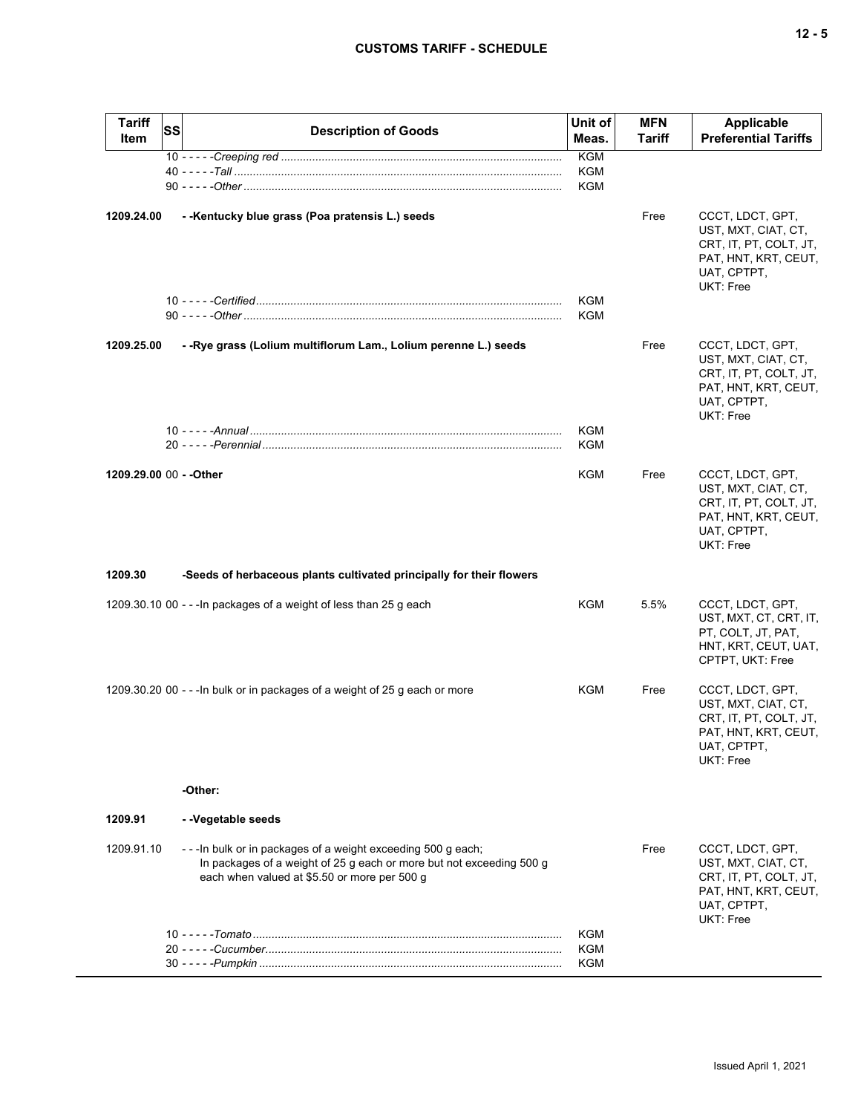|  | ×<br>۰. |  |
|--|---------|--|
|--|---------|--|

| <b>Tariff</b><br>Item   | <b>SS</b><br><b>Description of Goods</b>                                                                                                                                             | Unit of<br>Meas.                       | <b>MFN</b><br>Tariff | <b>Applicable</b><br><b>Preferential Tariffs</b>                                                                             |
|-------------------------|--------------------------------------------------------------------------------------------------------------------------------------------------------------------------------------|----------------------------------------|----------------------|------------------------------------------------------------------------------------------------------------------------------|
|                         |                                                                                                                                                                                      | <b>KGM</b><br><b>KGM</b><br>KGM        |                      |                                                                                                                              |
| 1209.24.00              | - - Kentucky blue grass (Poa pratensis L.) seeds                                                                                                                                     |                                        | Free                 | CCCT, LDCT, GPT,<br>UST, MXT, CIAT, CT,<br>CRT, IT, PT, COLT, JT,<br>PAT, HNT, KRT, CEUT,<br>UAT, CPTPT,<br>UKT: Free        |
|                         |                                                                                                                                                                                      | <b>KGM</b><br><b>KGM</b>               |                      |                                                                                                                              |
| 1209.25.00              | - - Rye grass (Lolium multiflorum Lam., Lolium perenne L.) seeds                                                                                                                     |                                        | Free                 | CCCT, LDCT, GPT,<br>UST, MXT, CIAT, CT,<br>CRT, IT, PT, COLT, JT,<br>PAT, HNT, KRT, CEUT,<br>UAT, CPTPT,<br><b>UKT: Free</b> |
|                         |                                                                                                                                                                                      | <b>KGM</b><br><b>KGM</b>               |                      |                                                                                                                              |
| 1209.29.00 00 - - Other |                                                                                                                                                                                      | KGM                                    | Free                 | CCCT, LDCT, GPT,<br>UST, MXT, CIAT, CT,<br>CRT, IT, PT, COLT, JT,<br>PAT, HNT, KRT, CEUT,<br>UAT, CPTPT,<br>UKT: Free        |
| 1209.30                 | -Seeds of herbaceous plants cultivated principally for their flowers                                                                                                                 |                                        |                      |                                                                                                                              |
|                         | 1209.30.10 00 - - - In packages of a weight of less than 25 g each                                                                                                                   | KGM                                    | 5.5%                 | CCCT, LDCT, GPT,<br>UST, MXT, CT, CRT, IT,<br>PT, COLT, JT, PAT,<br>HNT, KRT, CEUT, UAT,<br>CPTPT, UKT: Free                 |
|                         | 1209.30.20 00 - - - In bulk or in packages of a weight of 25 g each or more                                                                                                          | KGM                                    | Free                 | CCCT, LDCT, GPT,<br>UST, MXT, CIAT, CT,<br>CRT, IT, PT, COLT, JT,<br>PAT, HNT, KRT, CEUT,<br>UAT, CPTPT,<br>UKT: Free        |
|                         | -Other:                                                                                                                                                                              |                                        |                      |                                                                                                                              |
| 1209.91                 | - - Vegetable seeds                                                                                                                                                                  |                                        |                      |                                                                                                                              |
| 1209.91.10              | --- In bulk or in packages of a weight exceeding 500 g each;<br>In packages of a weight of 25 g each or more but not exceeding 500 g<br>each when valued at \$5.50 or more per 500 g |                                        | Free                 | CCCT, LDCT, GPT,<br>UST, MXT, CIAT, CT,<br>CRT, IT, PT, COLT, JT,<br>PAT, HNT, KRT, CEUT,<br>UAT, CPTPT,<br>UKT: Free        |
|                         |                                                                                                                                                                                      | <b>KGM</b><br><b>KGM</b><br><b>KGM</b> |                      |                                                                                                                              |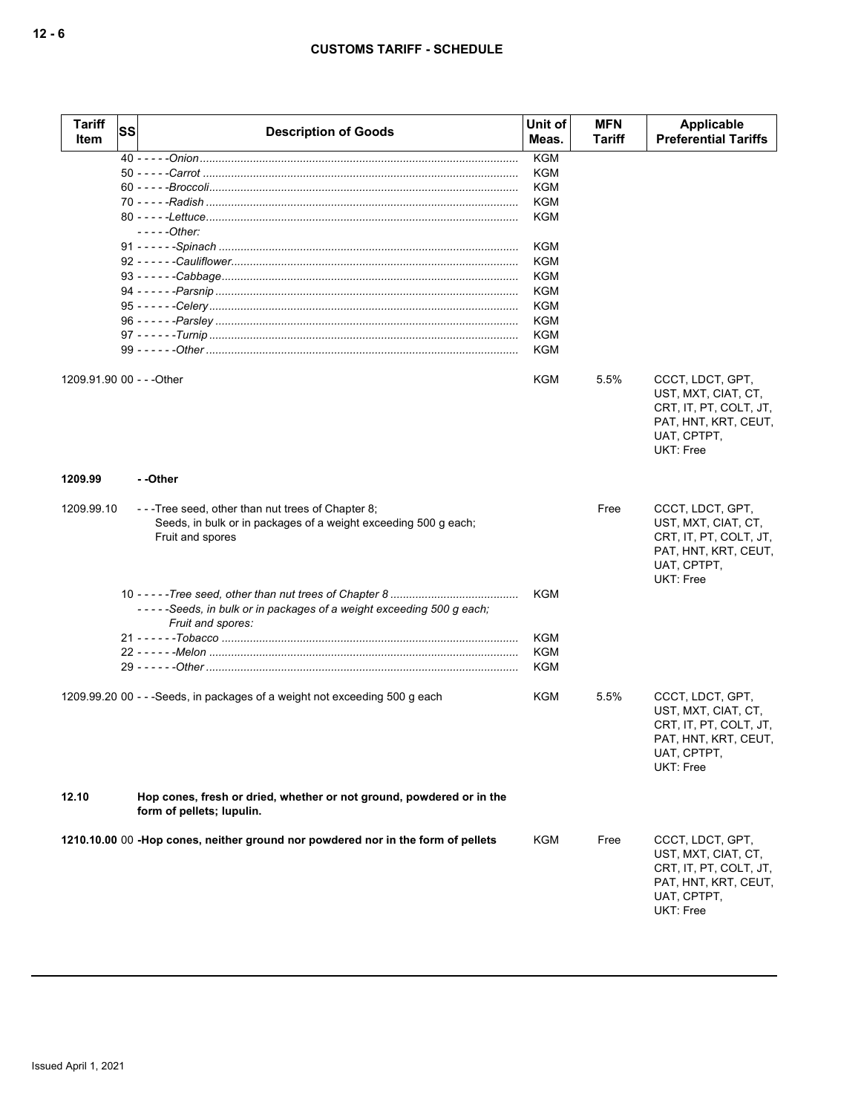| <b>Tariff</b><br>Item     | SS<br><b>Description of Goods</b>                                                                                                       | Unit of<br>Meas. | <b>MFN</b><br><b>Tariff</b> | Applicable<br><b>Preferential Tariffs</b>                                                                             |
|---------------------------|-----------------------------------------------------------------------------------------------------------------------------------------|------------------|-----------------------------|-----------------------------------------------------------------------------------------------------------------------|
|                           |                                                                                                                                         | KGM              |                             |                                                                                                                       |
|                           |                                                                                                                                         | KGM              |                             |                                                                                                                       |
|                           |                                                                                                                                         | KGM              |                             |                                                                                                                       |
|                           |                                                                                                                                         | <b>KGM</b>       |                             |                                                                                                                       |
|                           |                                                                                                                                         | KGM              |                             |                                                                                                                       |
|                           | - - - - -Other:                                                                                                                         |                  |                             |                                                                                                                       |
|                           |                                                                                                                                         | KGM              |                             |                                                                                                                       |
|                           |                                                                                                                                         | KGM              |                             |                                                                                                                       |
|                           |                                                                                                                                         | <b>KGM</b>       |                             |                                                                                                                       |
|                           |                                                                                                                                         | KGM              |                             |                                                                                                                       |
|                           |                                                                                                                                         | KGM              |                             |                                                                                                                       |
|                           |                                                                                                                                         | <b>KGM</b>       |                             |                                                                                                                       |
|                           |                                                                                                                                         | KGM              |                             |                                                                                                                       |
|                           |                                                                                                                                         | KGM              |                             |                                                                                                                       |
| 1209.91.90 00 - - - Other |                                                                                                                                         | KGM              | 5.5%                        | CCCT, LDCT, GPT,<br>UST, MXT, CIAT, CT,<br>CRT, IT, PT, COLT, JT,<br>PAT, HNT, KRT, CEUT,<br>UAT, CPTPT,<br>UKT: Free |
| 1209.99                   | - -Other                                                                                                                                |                  |                             |                                                                                                                       |
| 1209.99.10                | ---Tree seed, other than nut trees of Chapter 8;<br>Seeds, in bulk or in packages of a weight exceeding 500 g each;<br>Fruit and spores |                  | Free                        | CCCT, LDCT, GPT,<br>UST, MXT, CIAT, CT,<br>CRT, IT, PT, COLT, JT,<br>PAT, HNT, KRT, CEUT,<br>UAT, CPTPT,              |
|                           |                                                                                                                                         |                  |                             | UKT: Free                                                                                                             |
|                           | -----Seeds, in bulk or in packages of a weight exceeding 500 g each;<br>Fruit and spores:                                               | <b>KGM</b>       |                             |                                                                                                                       |
|                           |                                                                                                                                         | KGM              |                             |                                                                                                                       |
|                           |                                                                                                                                         | KGM              |                             |                                                                                                                       |
|                           |                                                                                                                                         | <b>KGM</b>       |                             |                                                                                                                       |
|                           |                                                                                                                                         |                  |                             |                                                                                                                       |
|                           | 1209.99.20 00 - - - Seeds, in packages of a weight not exceeding 500 g each                                                             | KGM              | 5.5%                        | CCCT, LDCT, GPT,<br>UST, MXT, CIAT, CT,<br>CRT, IT, PT, COLT, JT,<br>PAT, HNT, KRT, CEUT,<br>UAT, CPTPT,<br>UKT: Free |
| 12.10                     | Hop cones, fresh or dried, whether or not ground, powdered or in the<br>form of pellets; lupulin.                                       |                  |                             |                                                                                                                       |
|                           | 1210.10.00 00 -Hop cones, neither ground nor powdered nor in the form of pellets                                                        | KGM              | Free                        | CCCT, LDCT, GPT,<br>UST, MXT, CIAT, CT,<br>CRT, IT, PT, COLT, JT,<br>PAT, HNT, KRT, CEUT,<br>UAT, CPTPT,<br>UKT: Free |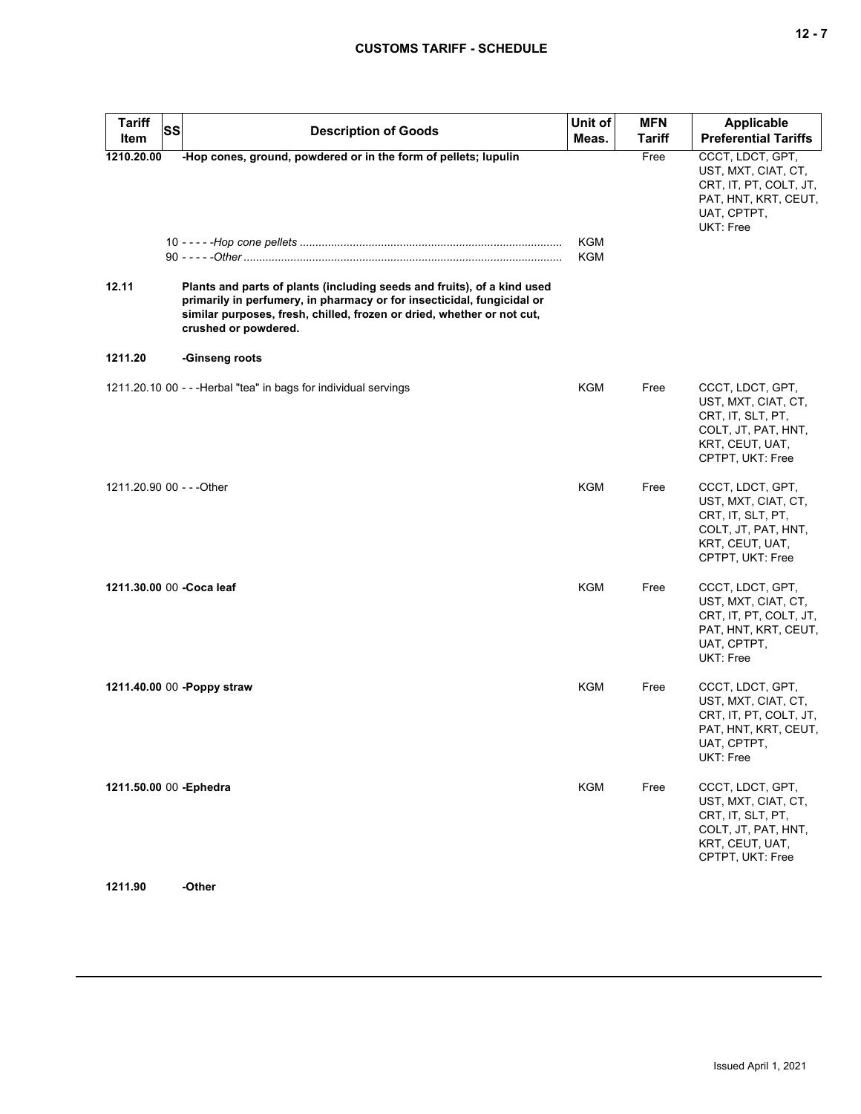| <b>Tariff</b><br>Item     | <b>SS</b> | <b>Description of Goods</b>                                                                                                                                                                                                                         | Unit of<br>Meas.         | <b>MFN</b><br><b>Tariff</b> | Applicable<br><b>Preferential Tariffs</b>                                                                                  |
|---------------------------|-----------|-----------------------------------------------------------------------------------------------------------------------------------------------------------------------------------------------------------------------------------------------------|--------------------------|-----------------------------|----------------------------------------------------------------------------------------------------------------------------|
| 1210.20.00                |           | -Hop cones, ground, powdered or in the form of pellets; lupulin                                                                                                                                                                                     | <b>KGM</b><br><b>KGM</b> | Free                        | CCCT, LDCT, GPT,<br>UST, MXT, CIAT, CT,<br>CRT, IT, PT, COLT, JT,<br>PAT, HNT, KRT, CEUT,<br>UAT, CPTPT,<br>UKT: Free      |
| 12.11                     |           | Plants and parts of plants (including seeds and fruits), of a kind used<br>primarily in perfumery, in pharmacy or for insecticidal, fungicidal or<br>similar purposes, fresh, chilled, frozen or dried, whether or not cut,<br>crushed or powdered. |                          |                             |                                                                                                                            |
| 1211.20                   |           | -Ginseng roots                                                                                                                                                                                                                                      |                          |                             |                                                                                                                            |
|                           |           | 1211.20.10 00 - - - Herbal "tea" in bags for individual servings                                                                                                                                                                                    | KGM                      | Free                        | CCCT, LDCT, GPT,<br>UST, MXT, CIAT, CT,<br>CRT, IT, SLT, PT,<br>COLT, JT, PAT, HNT,<br>KRT, CEUT, UAT,<br>CPTPT, UKT: Free |
| 1211.20.90 00 - - - Other |           |                                                                                                                                                                                                                                                     | <b>KGM</b>               | Free                        | CCCT, LDCT, GPT,<br>UST, MXT, CIAT, CT,<br>CRT, IT, SLT, PT,<br>COLT, JT, PAT, HNT,<br>KRT, CEUT, UAT,<br>CPTPT, UKT: Free |
|                           |           | 1211.30.00 00 - Coca leaf                                                                                                                                                                                                                           | <b>KGM</b>               | Free                        | CCCT, LDCT, GPT,<br>UST, MXT, CIAT, CT,<br>CRT, IT, PT, COLT, JT,<br>PAT, HNT, KRT, CEUT,<br>UAT, CPTPT,<br>UKT: Free      |
|                           |           | 1211.40.00 00 -Poppy straw                                                                                                                                                                                                                          | <b>KGM</b>               | Free                        | CCCT, LDCT, GPT,<br>UST, MXT, CIAT, CT,<br>CRT, IT, PT, COLT, JT,<br>PAT, HNT, KRT, CEUT,<br>UAT, CPTPT,<br>UKT: Free      |
| 1211.50.00 00 - Ephedra   |           |                                                                                                                                                                                                                                                     | <b>KGM</b>               | Free                        | CCCT, LDCT, GPT,<br>UST, MXT, CIAT, CT,<br>CRT, IT, SLT, PT,<br>COLT, JT, PAT, HNT,<br>KRT, CEUT, UAT,<br>CPTPT, UKT: Free |

**1211.90 -Other**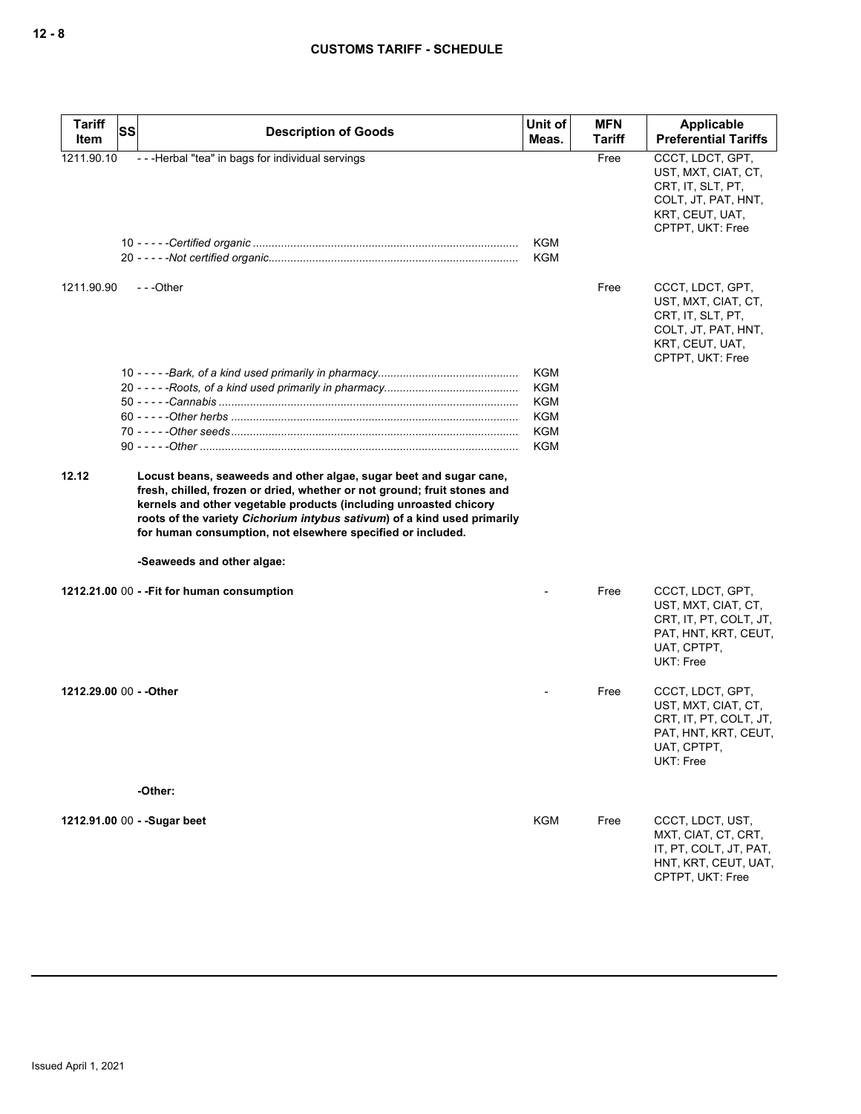| <b>Tariff</b> | <b>SS</b><br><b>Description of Goods</b>                                                                                                                                                                                                                                                                                                                                                     | Unit of    | <b>MFN</b>    | Applicable                                                                                                                 |
|---------------|----------------------------------------------------------------------------------------------------------------------------------------------------------------------------------------------------------------------------------------------------------------------------------------------------------------------------------------------------------------------------------------------|------------|---------------|----------------------------------------------------------------------------------------------------------------------------|
| Item          |                                                                                                                                                                                                                                                                                                                                                                                              | Meas.      | <b>Tariff</b> | <b>Preferential Tariffs</b>                                                                                                |
| 1211.90.10    | ---Herbal "tea" in bags for individual servings                                                                                                                                                                                                                                                                                                                                              |            | Free          | CCCT, LDCT, GPT,<br>UST, MXT, CIAT, CT,<br>CRT, IT, SLT, PT,<br>COLT, JT, PAT, HNT,<br>KRT, CEUT, UAT,<br>CPTPT, UKT: Free |
|               |                                                                                                                                                                                                                                                                                                                                                                                              | <b>KGM</b> |               |                                                                                                                            |
|               |                                                                                                                                                                                                                                                                                                                                                                                              | KGM        |               |                                                                                                                            |
| 1211.90.90    | ---Other                                                                                                                                                                                                                                                                                                                                                                                     |            | Free          | CCCT, LDCT, GPT,<br>UST, MXT, CIAT, CT,<br>CRT, IT, SLT, PT,<br>COLT, JT, PAT, HNT,<br>KRT, CEUT, UAT,<br>CPTPT, UKT: Free |
|               |                                                                                                                                                                                                                                                                                                                                                                                              | KGM        |               |                                                                                                                            |
|               |                                                                                                                                                                                                                                                                                                                                                                                              | KGM        |               |                                                                                                                            |
|               |                                                                                                                                                                                                                                                                                                                                                                                              | <b>KGM</b> |               |                                                                                                                            |
|               |                                                                                                                                                                                                                                                                                                                                                                                              | <b>KGM</b> |               |                                                                                                                            |
|               |                                                                                                                                                                                                                                                                                                                                                                                              | <b>KGM</b> |               |                                                                                                                            |
|               |                                                                                                                                                                                                                                                                                                                                                                                              | <b>KGM</b> |               |                                                                                                                            |
| 12.12         | Locust beans, seaweeds and other algae, sugar beet and sugar cane,<br>fresh, chilled, frozen or dried, whether or not ground; fruit stones and<br>kernels and other vegetable products (including unroasted chicory<br>roots of the variety Cichorium intybus sativum) of a kind used primarily<br>for human consumption, not elsewhere specified or included.<br>-Seaweeds and other algae: |            |               |                                                                                                                            |
|               | 1212.21.00 00 - - Fit for human consumption                                                                                                                                                                                                                                                                                                                                                  |            | Free          | CCCT, LDCT, GPT,                                                                                                           |
|               |                                                                                                                                                                                                                                                                                                                                                                                              |            |               | UST, MXT, CIAT, CT,<br>CRT, IT, PT, COLT, JT,<br>PAT, HNT, KRT, CEUT,<br>UAT, CPTPT,<br>UKT: Free                          |
|               | 1212.29.00 00 - - Other                                                                                                                                                                                                                                                                                                                                                                      |            | Free          | CCCT, LDCT, GPT,                                                                                                           |
|               |                                                                                                                                                                                                                                                                                                                                                                                              |            |               | UST, MXT, CIAT, CT,<br>CRT, IT, PT, COLT, JT,<br>PAT, HNT, KRT, CEUT,<br>UAT, CPTPT,<br>UKT: Free                          |
|               | -Other:                                                                                                                                                                                                                                                                                                                                                                                      |            |               |                                                                                                                            |
|               |                                                                                                                                                                                                                                                                                                                                                                                              |            |               |                                                                                                                            |
|               | 1212.91.00 00 - - Sugar beet                                                                                                                                                                                                                                                                                                                                                                 | <b>KGM</b> | Free          | CCCT, LDCT, UST,<br>MXT, CIAT, CT, CRT,<br>IT, PT, COLT, JT, PAT,<br>HNT, KRT, CEUT, UAT,<br>CPTPT, UKT: Free              |